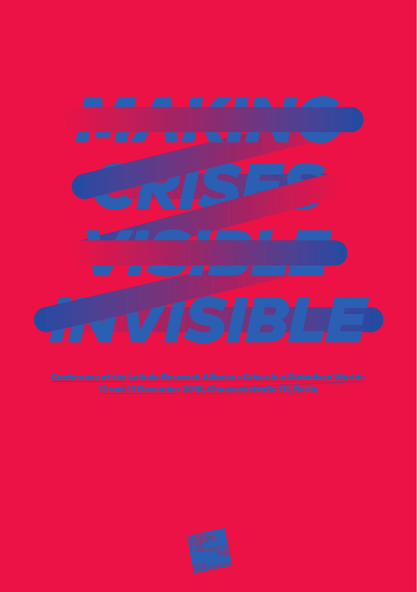

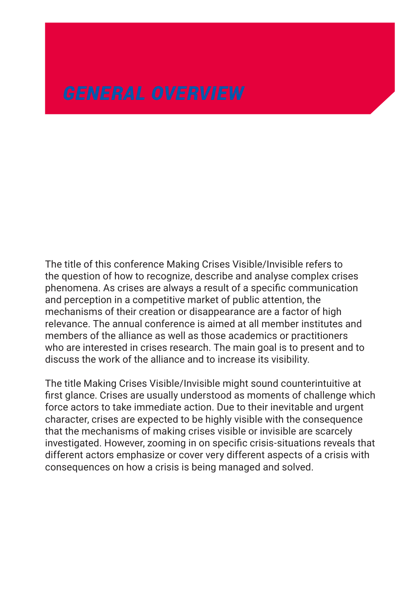The title of this conference Making Crises Visible/Invisible refers to the question of how to recognize, describe and analyse complex crises phenomena. As crises are always a result of a specific communication and perception in a competitive market of public attention, the mechanisms of their creation or disappearance are a factor of high relevance. The annual conference is aimed at all member institutes and members of the alliance as well as those academics or practitioners who are interested in crises research. The main goal is to present and to discuss the work of the alliance and to increase its visibility.

The title Making Crises Visible/Invisible might sound counterintuitive at first glance. Crises are usually understood as moments of challenge which force actors to take immediate action. Due to their inevitable and urgent character, crises are expected to be highly visible with the consequence that the mechanisms of making crises visible or invisible are scarcely investigated. However, zooming in on specific crisis-situations reveals that different actors emphasize or cover very different aspects of a crisis with consequences on how a crisis is being managed and solved.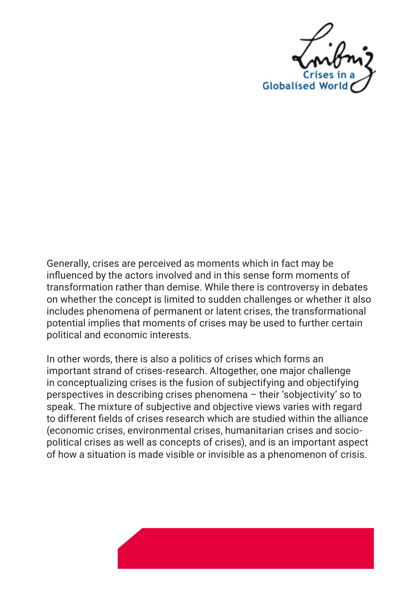

Generally, crises are perceived as moments which in fact may be influenced by the actors involved and in this sense form moments of transformation rather than demise. While there is controversy in debates on whether the concept is limited to sudden challenges or whether it also includes phenomena of permanent or latent crises, the transformational potential implies that moments of crises may be used to further certain political and economic interests.

In other words, there is also a politics of crises which forms an important strand of crises-research. Altogether, one major challenge in conceptualizing crises is the fusion of subjectifying and objectifying perspectives in describing crises phenomena – their 'sobjectivity' so to speak. The mixture of subjective and objective views varies with regard to different fields of crises research which are studied within the alliance (economic crises, environmental crises, humanitarian crises and sociopolitical crises as well as concepts of crises), and is an important aspect of how a situation is made visible or invisible as a phenomenon of crisis.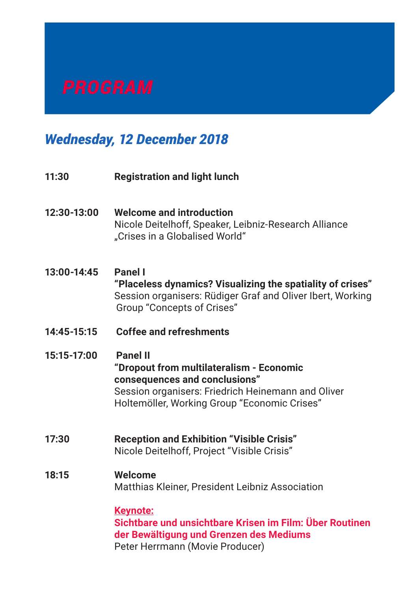# *Wednesday, 12 December 2018*

- **11:30 Registration and light lunch**
- **12:30-13:00 Welcome and introduction** Nicole Deitelhoff, Speaker, Leibniz-Research Alliance "Crises in a Globalised World"
- **13:00-14:45 Panel I "Placeless dynamics? Visualizing the spatiality of crises"** Session organisers: Rüdiger Graf and Oliver Ibert, Working Group "Concepts of Crises"
- **14:45-15:15 Coffee and refreshments**
- **15:15-17:00 Panel II**

**"Dropout from multilateralism - Economic consequences and conclusions"** Session organisers: Friedrich Heinemann and Oliver Holtemöller, Working Group "Economic Crises"

**17:30 Reception and Exhibition "Visible Crisis"** Nicole Deitelhoff, Project "Visible Crisis"

# **18:15 Welcome**

Matthias Kleiner, President Leibniz Association

**Keynote:**

 **Sichtbare und unsichtbare Krisen im Film: Über Routinen der Bewältigung und Grenzen des Mediums** Peter Herrmann (Movie Producer)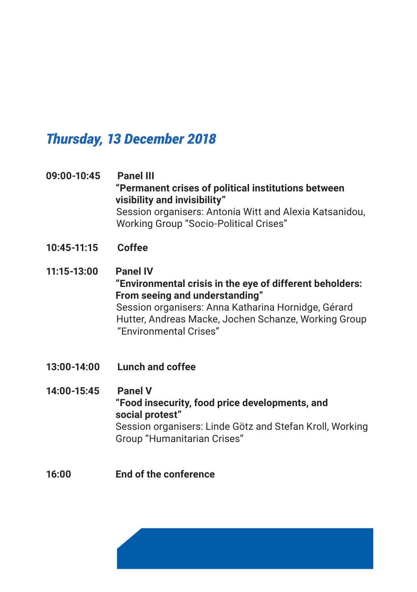# *Thursday, 13 December 2018*

- **09:00-10:45 Panel III "Permanent crises of political institutions between visibility and invisibility"** Session organisers: Antonia Witt and Alexia Katsanidou, Working Group "Socio-Political Crises"
- **10:45-11:15 Coffee**
- **11:15-13:00 Panel IV "Environmental crisis in the eye of different beholders: From seeing and understanding"** Session organisers: Anna Katharina Hornidge, Gérard Hutter, Andreas Macke, Jochen Schanze, Working Group "Environmental Crises"
- **13:00-14:00 Lunch and coffee**

**14:00-15:45 Panel V "Food insecurity, food price developments, and social protest"** Session organisers: Linde Götz and Stefan Kroll, Working Group "Humanitarian Crises"

**16:00 End of the conference**

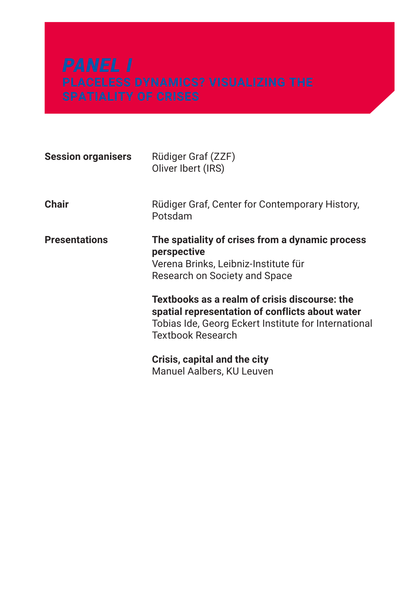| <b>Session organisers</b> | Rüdiger Graf (ZZF)<br>Oliver Ibert (IRS)                                                                                                                                             |
|---------------------------|--------------------------------------------------------------------------------------------------------------------------------------------------------------------------------------|
| Chair                     | Rüdiger Graf, Center for Contemporary History,<br>Potsdam                                                                                                                            |
| <b>Presentations</b>      | The spatiality of crises from a dynamic process<br>perspective<br>Verena Brinks, Leibniz-Institute für<br>Research on Society and Space                                              |
|                           | Textbooks as a realm of crisis discourse: the<br>spatial representation of conflicts about water<br>Tobias Ide, Georg Eckert Institute for International<br><b>Textbook Research</b> |
|                           | Crisis, capital and the city<br>Manuel Aalbers, KU Leuven                                                                                                                            |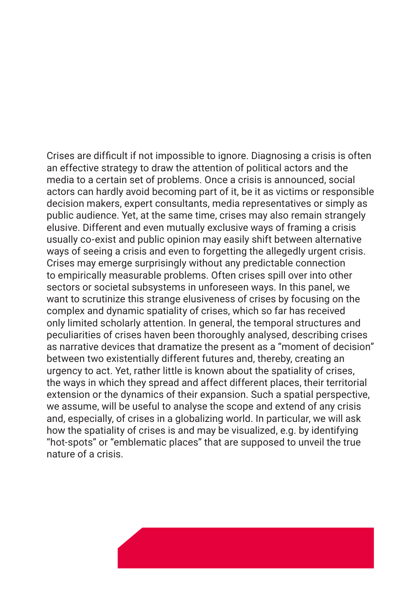Crises are difficult if not impossible to ignore. Diagnosing a crisis is often an effective strategy to draw the attention of political actors and the media to a certain set of problems. Once a crisis is announced, social actors can hardly avoid becoming part of it, be it as victims or responsible decision makers, expert consultants, media representatives or simply as public audience. Yet, at the same time, crises may also remain strangely elusive. Different and even mutually exclusive ways of framing a crisis usually co-exist and public opinion may easily shift between alternative ways of seeing a crisis and even to forgetting the allegedly urgent crisis. Crises may emerge surprisingly without any predictable connection to empirically measurable problems. Often crises spill over into other sectors or societal subsystems in unforeseen ways. In this panel, we want to scrutinize this strange elusiveness of crises by focusing on the complex and dynamic spatiality of crises, which so far has received only limited scholarly attention. In general, the temporal structures and peculiarities of crises haven been thoroughly analysed, describing crises as narrative devices that dramatize the present as a "moment of decision" between two existentially different futures and, thereby, creating an urgency to act. Yet, rather little is known about the spatiality of crises, the ways in which they spread and affect different places, their territorial extension or the dynamics of their expansion. Such a spatial perspective, we assume, will be useful to analyse the scope and extend of any crisis and, especially, of crises in a globalizing world. In particular, we will ask how the spatiality of crises is and may be visualized, e.g. by identifying "hot-spots" or "emblematic places" that are supposed to unveil the true nature of a crisis.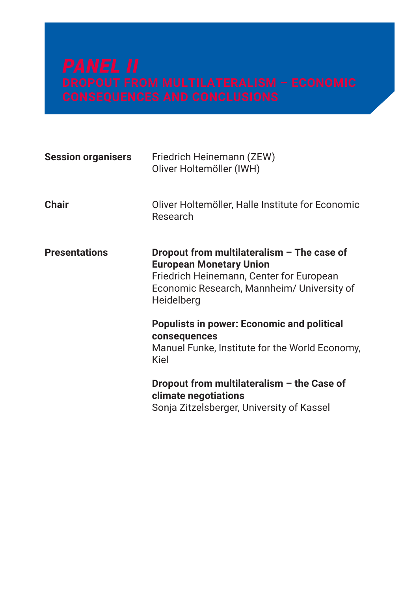| <b>Session organisers</b> | Friedrich Heinemann (ZEW)<br>Oliver Holtemöller (IWH)                                                                                                                                  |
|---------------------------|----------------------------------------------------------------------------------------------------------------------------------------------------------------------------------------|
| <b>Chair</b>              | Oliver Holtemöller, Halle Institute for Economic<br>Research                                                                                                                           |
| <b>Presentations</b>      | Dropout from multilateralism $-$ The case of<br><b>European Monetary Union</b><br>Friedrich Heinemann, Center for European<br>Economic Research, Mannheim/ University of<br>Heidelberg |
|                           | <b>Populists in power: Economic and political</b><br>consequences<br>Manuel Funke, Institute for the World Economy,<br>Kiel                                                            |
|                           | Dropout from multilateralism - the Case of<br>climate negotiations<br>Sonja Zitzelsberger, University of Kassel                                                                        |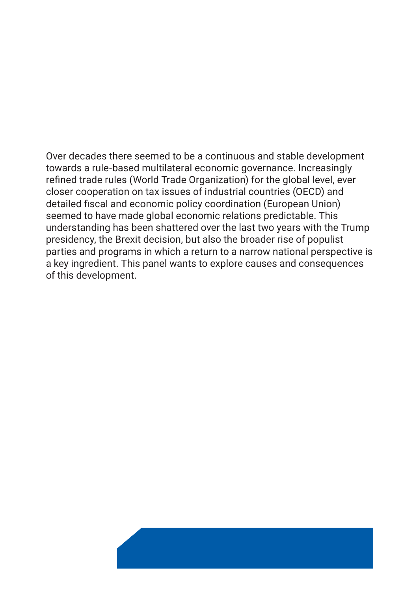Over decades there seemed to be a continuous and stable development towards a rule-based multilateral economic governance. Increasingly refined trade rules (World Trade Organization) for the global level, ever closer cooperation on tax issues of industrial countries (OECD) and detailed fiscal and economic policy coordination (European Union) seemed to have made global economic relations predictable. This understanding has been shattered over the last two years with the Trump presidency, the Brexit decision, but also the broader rise of populist parties and programs in which a return to a narrow national perspective is a key ingredient. This panel wants to explore causes and consequences of this development.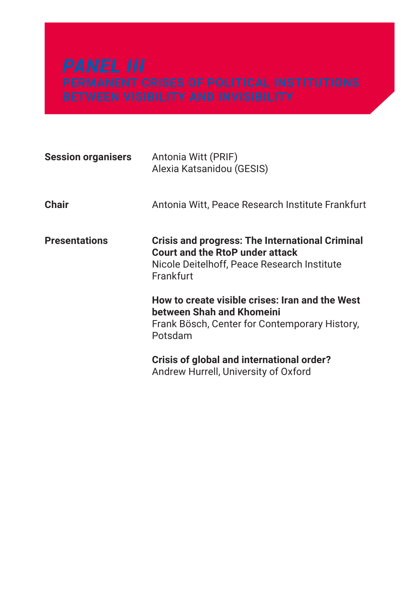| <b>Session organisers</b> | Antonia Witt (PRIF)<br>Alexia Katsanidou (GESIS)                                                                                                      |
|---------------------------|-------------------------------------------------------------------------------------------------------------------------------------------------------|
| <b>Chair</b>              | Antonia Witt, Peace Research Institute Frankfurt                                                                                                      |
| <b>Presentations</b>      | Crisis and progress: The International Criminal<br><b>Court and the RtoP under attack</b><br>Nicole Deitelhoff, Peace Research Institute<br>Frankfurt |
|                           | How to create visible crises: Iran and the West<br>between Shah and Khomeini<br>Frank Bösch, Center for Contemporary History,<br>Potsdam              |
|                           | Crisis of global and international order?<br>Andrew Hurrell, University of Oxford                                                                     |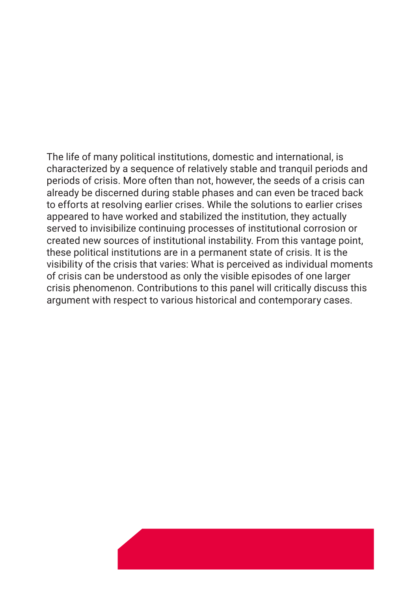The life of many political institutions, domestic and international, is characterized by a sequence of relatively stable and tranquil periods and periods of crisis. More often than not, however, the seeds of a crisis can already be discerned during stable phases and can even be traced back to efforts at resolving earlier crises. While the solutions to earlier crises appeared to have worked and stabilized the institution, they actually served to invisibilize continuing processes of institutional corrosion or created new sources of institutional instability. From this vantage point, these political institutions are in a permanent state of crisis. It is the visibility of the crisis that varies: What is perceived as individual moments of crisis can be understood as only the visible episodes of one larger crisis phenomenon. Contributions to this panel will critically discuss this argument with respect to various historical and contemporary cases.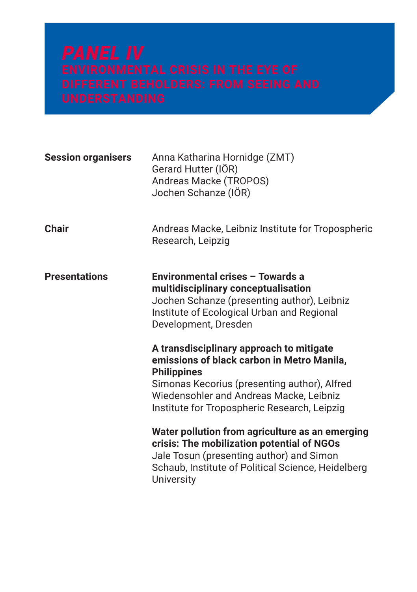| <b>Session organisers</b> | Anna Katharina Hornidge (ZMT)<br>Gerard Hutter (IÖR)<br>Andreas Macke (TROPOS)<br>Jochen Schanze (IÖR)                                                                                                                                                                                                                                                                                                                                                  |
|---------------------------|---------------------------------------------------------------------------------------------------------------------------------------------------------------------------------------------------------------------------------------------------------------------------------------------------------------------------------------------------------------------------------------------------------------------------------------------------------|
| <b>Chair</b>              | Andreas Macke, Leibniz Institute for Tropospheric<br>Research, Leipzig                                                                                                                                                                                                                                                                                                                                                                                  |
| <b>Presentations</b>      | Environmental crises - Towards a<br>multidisciplinary conceptualisation<br>Jochen Schanze (presenting author), Leibniz<br>Institute of Ecological Urban and Regional<br>Development, Dresden<br>A transdisciplinary approach to mitigate<br>emissions of black carbon in Metro Manila,<br><b>Philippines</b><br>Simonas Kecorius (presenting author), Alfred<br>Wiedensohler and Andreas Macke, Leibniz<br>Institute for Tropospheric Research, Leipzig |
|                           | Water pollution from agriculture as an emerging<br>crisis: The mobilization potential of NGOs<br>Jale Tosun (presenting author) and Simon<br>Schaub, Institute of Political Science, Heidelberg<br>University                                                                                                                                                                                                                                           |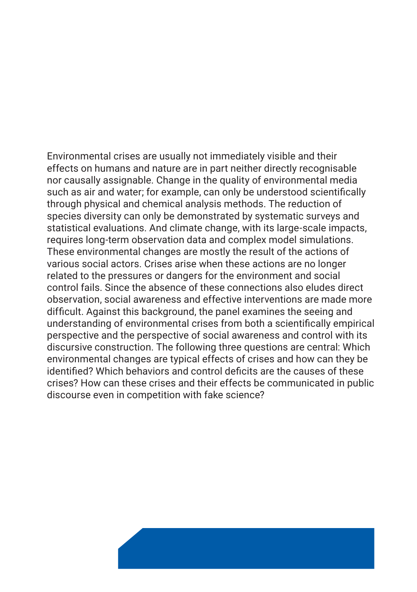Environmental crises are usually not immediately visible and their effects on humans and nature are in part neither directly recognisable nor causally assignable. Change in the quality of environmental media such as air and water; for example, can only be understood scientifically through physical and chemical analysis methods. The reduction of species diversity can only be demonstrated by systematic surveys and statistical evaluations. And climate change, with its large-scale impacts, requires long-term observation data and complex model simulations. These environmental changes are mostly the result of the actions of various social actors. Crises arise when these actions are no longer related to the pressures or dangers for the environment and social control fails. Since the absence of these connections also eludes direct observation, social awareness and effective interventions are made more difficult. Against this background, the panel examines the seeing and understanding of environmental crises from both a scientifically empirical perspective and the perspective of social awareness and control with its discursive construction. The following three questions are central: Which environmental changes are typical effects of crises and how can they be identified? Which behaviors and control deficits are the causes of these crises? How can these crises and their effects be communicated in public discourse even in competition with fake science?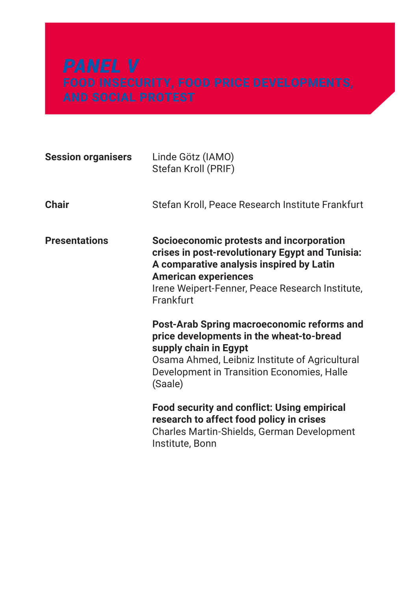| <b>Session organisers</b> | Linde Götz (IAMO)<br>Stefan Kroll (PRIF)                                                                                                                                                                                               |
|---------------------------|----------------------------------------------------------------------------------------------------------------------------------------------------------------------------------------------------------------------------------------|
| Chair                     | Stefan Kroll, Peace Research Institute Frankfurt                                                                                                                                                                                       |
| <b>Presentations</b>      | Socioeconomic protests and incorporation<br>crises in post-revolutionary Egypt and Tunisia:<br>A comparative analysis inspired by Latin<br><b>American experiences</b><br>Irene Weipert-Fenner, Peace Research Institute,<br>Frankfurt |
|                           | Post-Arab Spring macroeconomic reforms and<br>price developments in the wheat-to-bread<br>supply chain in Egypt<br>Osama Ahmed, Leibniz Institute of Agricultural<br>Development in Transition Economies, Halle<br>(Saale)             |
|                           | <b>Food security and conflict: Using empirical</b><br>research to affect food policy in crises<br>Charles Martin-Shields, German Development<br>Institute, Bonn                                                                        |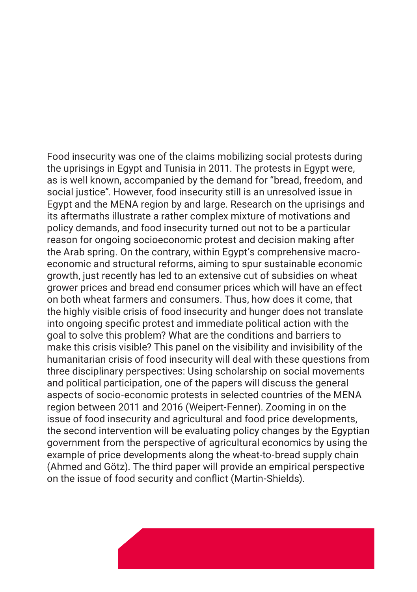Food insecurity was one of the claims mobilizing social protests during the uprisings in Egypt and Tunisia in 2011. The protests in Egypt were, as is well known, accompanied by the demand for "bread, freedom, and social justice". However, food insecurity still is an unresolved issue in Egypt and the MENA region by and large. Research on the uprisings and its aftermaths illustrate a rather complex mixture of motivations and policy demands, and food insecurity turned out not to be a particular reason for ongoing socioeconomic protest and decision making after the Arab spring. On the contrary, within Egypt's comprehensive macroeconomic and structural reforms, aiming to spur sustainable economic growth, just recently has led to an extensive cut of subsidies on wheat grower prices and bread end consumer prices which will have an effect on both wheat farmers and consumers. Thus, how does it come, that the highly visible crisis of food insecurity and hunger does not translate into ongoing specific protest and immediate political action with the goal to solve this problem? What are the conditions and barriers to make this crisis visible? This panel on the visibility and invisibility of the humanitarian crisis of food insecurity will deal with these questions from three disciplinary perspectives: Using scholarship on social movements and political participation, one of the papers will discuss the general aspects of socio-economic protests in selected countries of the MENA region between 2011 and 2016 (Weipert-Fenner). Zooming in on the issue of food insecurity and agricultural and food price developments, the second intervention will be evaluating policy changes by the Egyptian government from the perspective of agricultural economics by using the example of price developments along the wheat-to-bread supply chain (Ahmed and Götz). The third paper will provide an empirical perspective on the issue of food security and conflict (Martin-Shields).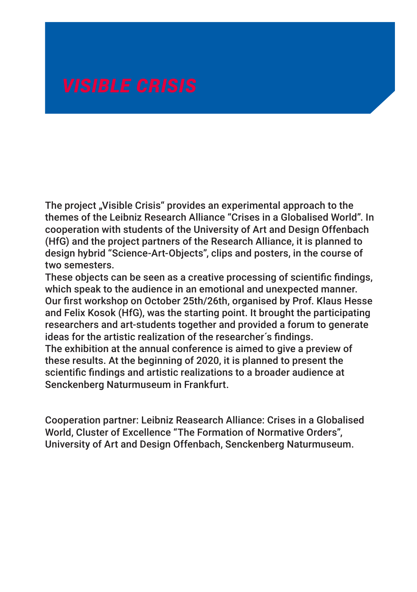The project "Visible Crisis" provides an experimental approach to the themes of the Leibniz Research Alliance "Crises in a Globalised World". In cooperation with students of the University of Art and Design Offenbach (HfG) and the project partners of the Research Alliance, it is planned to design hybrid "Science-Art-Objects", clips and posters, in the course of two semesters.

These objects can be seen as a creative processing of scientific findings, which speak to the audience in an emotional and unexpected manner. Our first workshop on October 25th/26th, organised by Prof. Klaus Hesse and Felix Kosok (HfG), was the starting point. It brought the participating researchers and art-students together and provided a forum to generate ideas for the artistic realization of the researcher´s findings. The exhibition at the annual conference is aimed to give a preview of these results. At the beginning of 2020, it is planned to present the

scientific findings and artistic realizations to a broader audience at Senckenberg Naturmuseum in Frankfurt.

Cooperation partner: Leibniz Reasearch Alliance: Crises in a Globalised World, Cluster of Excellence "The Formation of Normative Orders", University of Art and Design Offenbach, Senckenberg Naturmuseum.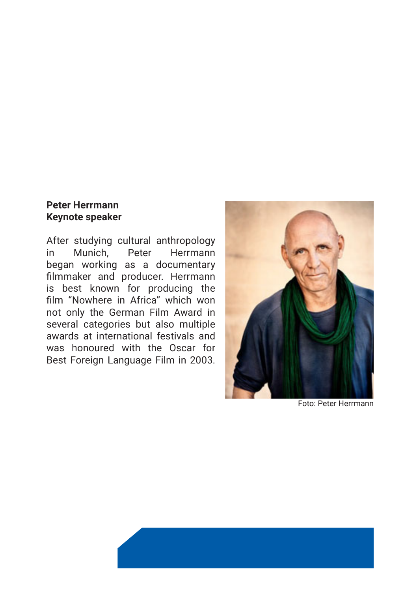### **Peter Herrmann Keynote speaker**

After studying cultural anthropology in Munich, Peter Herrmann began working as a documentary filmmaker and producer. Herrmann is best known for producing the film "Nowhere in Africa" which won not only the German Film Award in several categories but also multiple awards at international festivals and was honoured with the Oscar for Best Foreign Language Film in 2003.



Foto: Peter Herrmann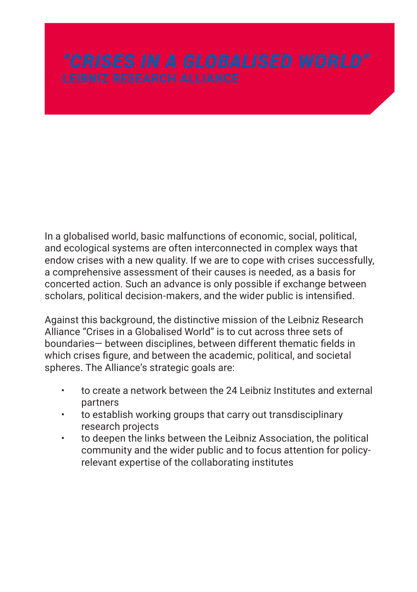In a globalised world, basic malfunctions of economic, social, political, and ecological systems are often interconnected in complex ways that endow crises with a new quality. If we are to cope with crises successfully, a comprehensive assessment of their causes is needed, as a basis for concerted action. Such an advance is only possible if exchange between scholars, political decision-makers, and the wider public is intensified.

Against this background, the distinctive mission of the Leibniz Research Alliance "Crises in a Globalised World" is to cut across three sets of boundaries— between disciplines, between different thematic fields in which crises figure, and between the academic, political, and societal spheres. The Alliance's strategic goals are:

- to create a network between the 24 Leibniz Institutes and external partners
- to establish working groups that carry out transdisciplinary research projects
- to deepen the links between the Leibniz Association, the political community and the wider public and to focus attention for policyrelevant expertise of the collaborating institutes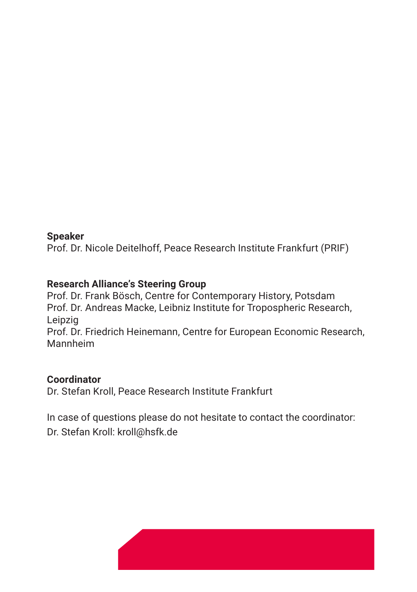### **Speaker**

Prof. Dr. Nicole Deitelhoff, Peace Research Institute Frankfurt (PRIF)

### **Research Alliance's Steering Group**

Prof. Dr. Frank Bösch, Centre for Contemporary History, Potsdam Prof. Dr. Andreas Macke, Leibniz Institute for Tropospheric Research, Leipzig Prof. Dr. Friedrich Heinemann, Centre for European Economic Research, Mannheim

### **Coordinator**

Dr. Stefan Kroll, Peace Research Institute Frankfurt

In case of questions please do not hesitate to contact the coordinator: Dr. Stefan Kroll: kroll@hsfk.de

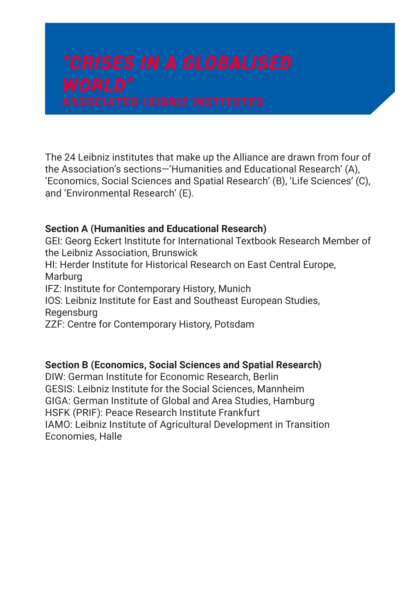The 24 Leibniz institutes that make up the Alliance are drawn from four of the Association's sections—'Humanities and Educational Research' (A), 'Economics, Social Sciences and Spatial Research' (B), 'Life Sciences' (C), and 'Environmental Research' (E).

### **Section A (Humanities and Educational Research)**

GEI: Georg Eckert Institute for International Textbook Research Member of the Leibniz Association, Brunswick HI: Herder Institute for Historical Research on East Central Europe, Marburg IFZ: Institute for Contemporary History, Munich IOS: Leibniz Institute for East and Southeast European Studies, **Regensburg** ZZF: Centre for Contemporary History, Potsdam

### **Section B (Economics, Social Sciences and Spatial Research)**

DIW: German Institute for Economic Research, Berlin GESIS: Leibniz Institute for the Social Sciences, Mannheim GIGA: German Institute of Global and Area Studies, Hamburg HSFK (PRIF): Peace Research Institute Frankfurt IAMO: Leibniz Institute of Agricultural Development in Transition Economies, Halle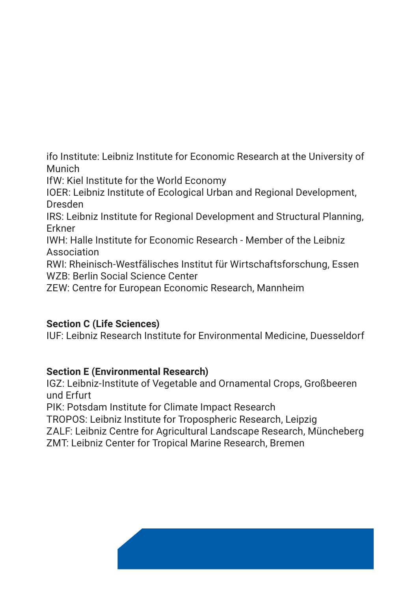ifo Institute: Leibniz Institute for Economic Research at the University of Munich

IfW: Kiel Institute for the World Economy

IOER: Leibniz Institute of Ecological Urban and Regional Development, Dresden

IRS: Leibniz Institute for Regional Development and Structural Planning, Erkner

IWH: Halle Institute for Economic Research - Member of the Leibniz Association

RWI: Rheinisch-Westfälisches Institut für Wirtschaftsforschung, Essen WZB: Berlin Social Science Center

ZEW: Centre for European Economic Research, Mannheim

# **Section C (Life Sciences)**

IUF: Leibniz Research Institute for Environmental Medicine, Duesseldorf

# **Section E (Environmental Research)**

IGZ: Leibniz-Institute of Vegetable and Ornamental Crops, Großbeeren und Erfurt

PIK: Potsdam Institute for Climate Impact Research

TROPOS: Leibniz Institute for Tropospheric Research, Leipzig

ZALF: Leibniz Centre for Agricultural Landscape Research, Müncheberg ZMT: Leibniz Center for Tropical Marine Research, Bremen

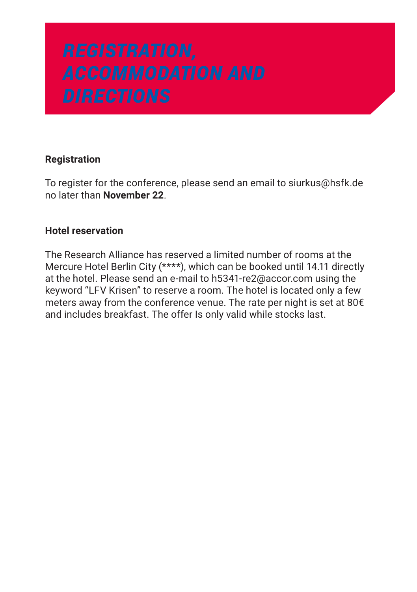# **Registration**

To register for the conference, please send an email to siurkus@hsfk.de no later than **November 22**.

### **Hotel reservation**

The Research Alliance has reserved a limited number of rooms at the Mercure Hotel Berlin City (\*\*\*\*), which can be booked until 14.11 directly at the hotel. Please send an e-mail to h5341-re2@accor.com using the keyword "LFV Krisen" to reserve a room. The hotel is located only a few meters away from the conference venue. The rate per night is set at 80€ and includes breakfast. The offer Is only valid while stocks last.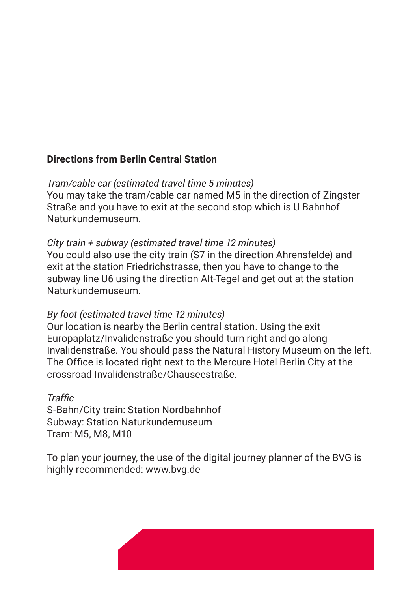# **Directions from Berlin Central Station**

# *Tram/cable car (estimated travel time 5 minutes)*

You may take the tram/cable car named M5 in the direction of Zingster Straße and you have to exit at the second stop which is U Bahnhof Naturkundemuseum.

# *City train + subway (estimated travel time 12 minutes)*

You could also use the city train (S7 in the direction Ahrensfelde) and exit at the station Friedrichstrasse, then you have to change to the subway line U6 using the direction Alt-Tegel and get out at the station Naturkundemuseum.

# *By foot (estimated travel time 12 minutes)*

Our location is nearby the Berlin central station. Using the exit Europaplatz/Invalidenstraße you should turn right and go along Invalidenstraße. You should pass the Natural History Museum on the left. The Office is located right next to the Mercure Hotel Berlin City at the crossroad Invalidenstraße/Chauseestraße.

### *Traffic*

S-Bahn/City train: Station Nordbahnhof Subway: Station Naturkundemuseum Tram: M5, M8, M10

To plan your journey, the use of the digital journey planner of the BVG is highly recommended: www.bvg.de